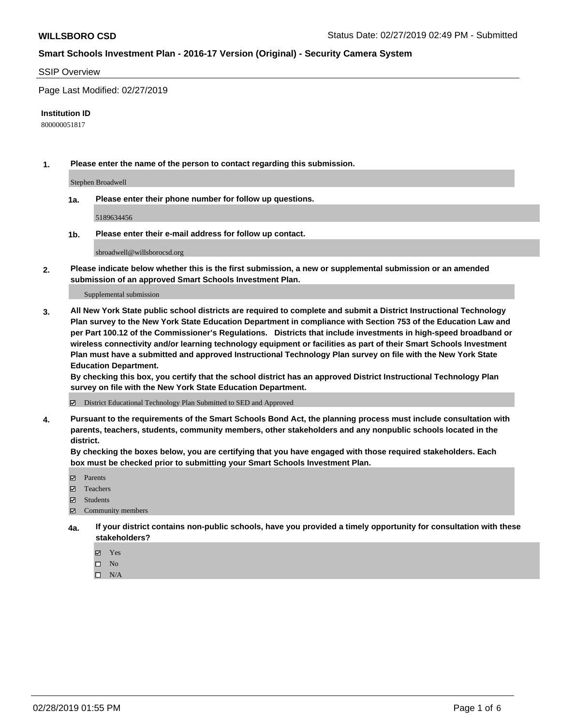### SSIP Overview

Page Last Modified: 02/27/2019

#### **Institution ID**

800000051817

**1. Please enter the name of the person to contact regarding this submission.**

Stephen Broadwell

**1a. Please enter their phone number for follow up questions.**

5189634456

**1b. Please enter their e-mail address for follow up contact.**

sbroadwell@willsborocsd.org

**2. Please indicate below whether this is the first submission, a new or supplemental submission or an amended submission of an approved Smart Schools Investment Plan.**

Supplemental submission

**3. All New York State public school districts are required to complete and submit a District Instructional Technology Plan survey to the New York State Education Department in compliance with Section 753 of the Education Law and per Part 100.12 of the Commissioner's Regulations. Districts that include investments in high-speed broadband or wireless connectivity and/or learning technology equipment or facilities as part of their Smart Schools Investment Plan must have a submitted and approved Instructional Technology Plan survey on file with the New York State Education Department.** 

**By checking this box, you certify that the school district has an approved District Instructional Technology Plan survey on file with the New York State Education Department.**

District Educational Technology Plan Submitted to SED and Approved

**4. Pursuant to the requirements of the Smart Schools Bond Act, the planning process must include consultation with parents, teachers, students, community members, other stakeholders and any nonpublic schools located in the district.** 

**By checking the boxes below, you are certifying that you have engaged with those required stakeholders. Each box must be checked prior to submitting your Smart Schools Investment Plan.**

- **□** Parents
- Teachers
- Students
- $\boxtimes$  Community members
- **4a. If your district contains non-public schools, have you provided a timely opportunity for consultation with these stakeholders?**
	- Yes
	- $\qquad \qquad$  No
	- $\square$  N/A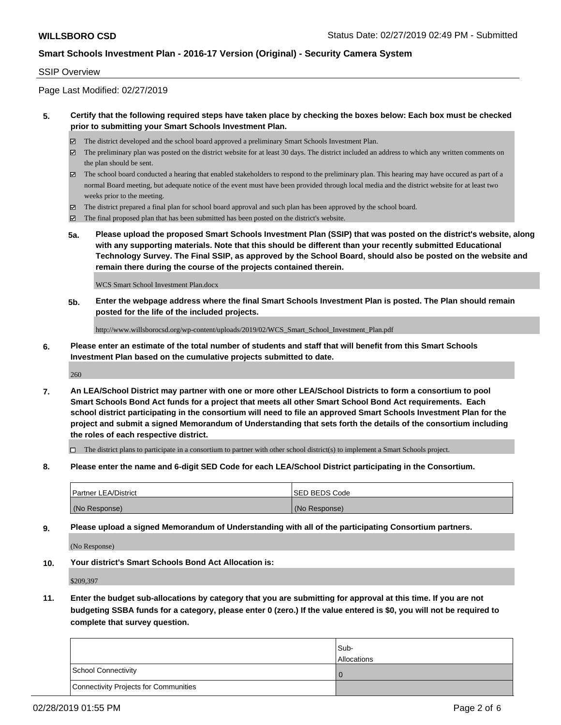#### SSIP Overview

Page Last Modified: 02/27/2019

### **5. Certify that the following required steps have taken place by checking the boxes below: Each box must be checked prior to submitting your Smart Schools Investment Plan.**

- The district developed and the school board approved a preliminary Smart Schools Investment Plan.
- $\boxtimes$  The preliminary plan was posted on the district website for at least 30 days. The district included an address to which any written comments on the plan should be sent.
- $\boxtimes$  The school board conducted a hearing that enabled stakeholders to respond to the preliminary plan. This hearing may have occured as part of a normal Board meeting, but adequate notice of the event must have been provided through local media and the district website for at least two weeks prior to the meeting.
- The district prepared a final plan for school board approval and such plan has been approved by the school board.
- $\boxtimes$  The final proposed plan that has been submitted has been posted on the district's website.
- **5a. Please upload the proposed Smart Schools Investment Plan (SSIP) that was posted on the district's website, along with any supporting materials. Note that this should be different than your recently submitted Educational Technology Survey. The Final SSIP, as approved by the School Board, should also be posted on the website and remain there during the course of the projects contained therein.**

WCS Smart School Investment Plan.docx

**5b. Enter the webpage address where the final Smart Schools Investment Plan is posted. The Plan should remain posted for the life of the included projects.**

http://www.willsborocsd.org/wp-content/uploads/2019/02/WCS\_Smart\_School\_Investment\_Plan.pdf

**6. Please enter an estimate of the total number of students and staff that will benefit from this Smart Schools Investment Plan based on the cumulative projects submitted to date.**

260

**7. An LEA/School District may partner with one or more other LEA/School Districts to form a consortium to pool Smart Schools Bond Act funds for a project that meets all other Smart School Bond Act requirements. Each school district participating in the consortium will need to file an approved Smart Schools Investment Plan for the project and submit a signed Memorandum of Understanding that sets forth the details of the consortium including the roles of each respective district.**

 $\Box$  The district plans to participate in a consortium to partner with other school district(s) to implement a Smart Schools project.

**8. Please enter the name and 6-digit SED Code for each LEA/School District participating in the Consortium.**

| <b>Partner LEA/District</b> | <b>ISED BEDS Code</b> |
|-----------------------------|-----------------------|
| (No Response)               | (No Response)         |

**9. Please upload a signed Memorandum of Understanding with all of the participating Consortium partners.**

(No Response)

**10. Your district's Smart Schools Bond Act Allocation is:**

\$209,397

**11. Enter the budget sub-allocations by category that you are submitting for approval at this time. If you are not budgeting SSBA funds for a category, please enter 0 (zero.) If the value entered is \$0, you will not be required to complete that survey question.**

|                                              | Sub-<br><b>Allocations</b> |
|----------------------------------------------|----------------------------|
| <b>School Connectivity</b>                   |                            |
| <b>Connectivity Projects for Communities</b> |                            |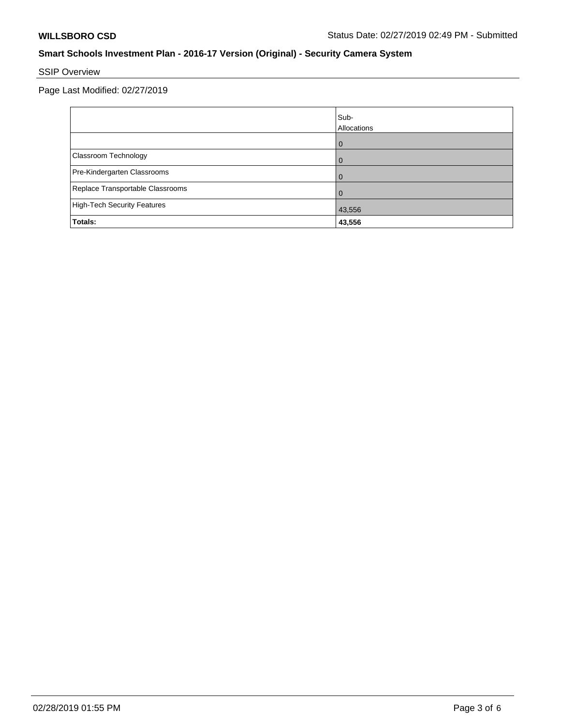# SSIP Overview

Page Last Modified: 02/27/2019

|                                    | Sub-<br>Allocations |
|------------------------------------|---------------------|
|                                    | ω                   |
| Classroom Technology               |                     |
| Pre-Kindergarten Classrooms        |                     |
| Replace Transportable Classrooms   |                     |
| <b>High-Tech Security Features</b> | 43,556              |
| Totals:                            | 43,556              |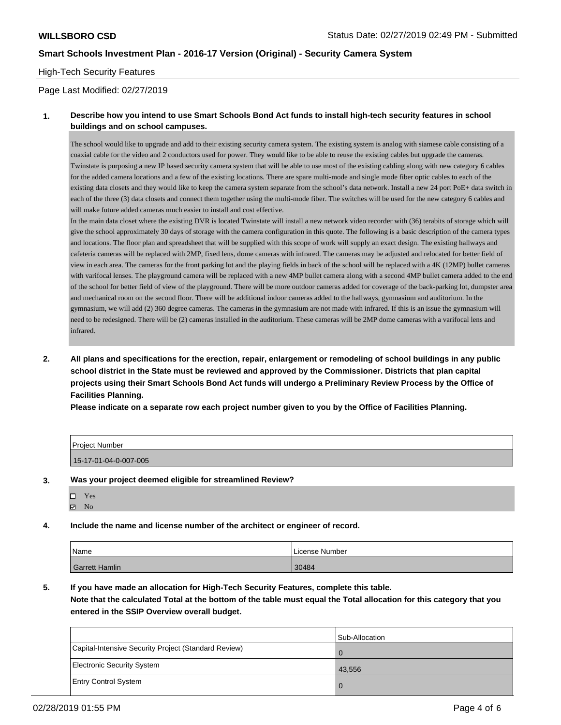#### High-Tech Security Features

#### Page Last Modified: 02/27/2019

### **1. Describe how you intend to use Smart Schools Bond Act funds to install high-tech security features in school buildings and on school campuses.**

The school would like to upgrade and add to their existing security camera system. The existing system is analog with siamese cable consisting of a coaxial cable for the video and 2 conductors used for power. They would like to be able to reuse the existing cables but upgrade the cameras. Twinstate is purposing a new IP based security camera system that will be able to use most of the existing cabling along with new category 6 cables for the added camera locations and a few of the existing locations. There are spare multi-mode and single mode fiber optic cables to each of the existing data closets and they would like to keep the camera system separate from the school's data network. Install a new 24 port PoE+ data switch in each of the three (3) data closets and connect them together using the multi-mode fiber. The switches will be used for the new category 6 cables and will make future added cameras much easier to install and cost effective.

In the main data closet where the existing DVR is located Twinstate will install a new network video recorder with (36) terabits of storage which will give the school approximately 30 days of storage with the camera configuration in this quote. The following is a basic description of the camera types and locations. The floor plan and spreadsheet that will be supplied with this scope of work will supply an exact design. The existing hallways and cafeteria cameras will be replaced with 2MP, fixed lens, dome cameras with infrared. The cameras may be adjusted and relocated for better field of view in each area. The cameras for the front parking lot and the playing fields in back of the school will be replaced with a 4K (12MP) bullet cameras with varifocal lenses. The playground camera will be replaced with a new 4MP bullet camera along with a second 4MP bullet camera added to the end of the school for better field of view of the playground. There will be more outdoor cameras added for coverage of the back-parking lot, dumpster area and mechanical room on the second floor. There will be additional indoor cameras added to the hallways, gymnasium and auditorium. In the gymnasium, we will add (2) 360 degree cameras. The cameras in the gymnasium are not made with infrared. If this is an issue the gymnasium will need to be redesigned. There will be (2) cameras installed in the auditorium. These cameras will be 2MP dome cameras with a varifocal lens and infrared.

**2. All plans and specifications for the erection, repair, enlargement or remodeling of school buildings in any public school district in the State must be reviewed and approved by the Commissioner. Districts that plan capital projects using their Smart Schools Bond Act funds will undergo a Preliminary Review Process by the Office of Facilities Planning.** 

**Please indicate on a separate row each project number given to you by the Office of Facilities Planning.**

| <b>Project Number</b> |  |
|-----------------------|--|
| 15-17-01-04-0-007-005 |  |
|                       |  |

#### **3. Was your project deemed eligible for streamlined Review?**

| П | Y es |
|---|------|
| ⊽ | No   |

#### **4. Include the name and license number of the architect or engineer of record.**

| Name                  | License Number |
|-----------------------|----------------|
| <b>Garrett Hamlin</b> | 30484          |

## **5. If you have made an allocation for High-Tech Security Features, complete this table.**

**Note that the calculated Total at the bottom of the table must equal the Total allocation for this category that you entered in the SSIP Overview overall budget.**

|                                                      | Sub-Allocation |
|------------------------------------------------------|----------------|
| Capital-Intensive Security Project (Standard Review) |                |
| <b>Electronic Security System</b>                    | 43,556         |
| <b>Entry Control System</b>                          |                |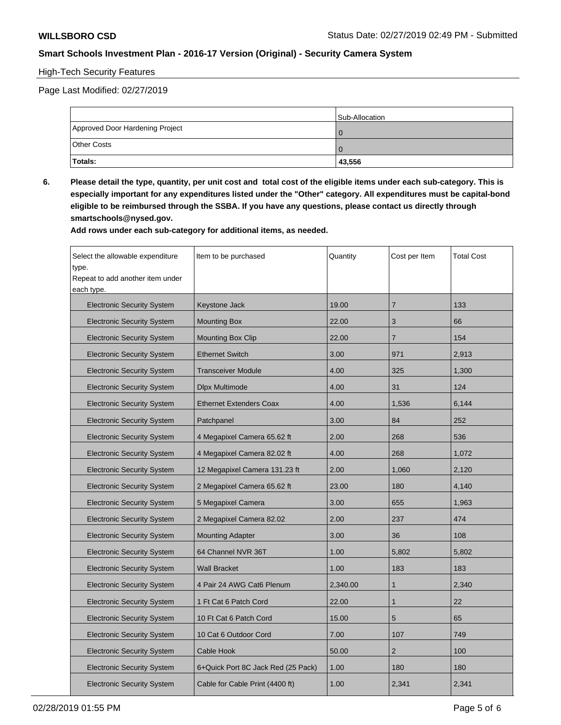# High-Tech Security Features

Page Last Modified: 02/27/2019

|                                 | Sub-Allocation |
|---------------------------------|----------------|
| Approved Door Hardening Project |                |
| <b>Other Costs</b>              |                |
| Totals:                         | 43,556         |

**6. Please detail the type, quantity, per unit cost and total cost of the eligible items under each sub-category. This is especially important for any expenditures listed under the "Other" category. All expenditures must be capital-bond eligible to be reimbursed through the SSBA. If you have any questions, please contact us directly through smartschools@nysed.gov.**

**Add rows under each sub-category for additional items, as needed.**

| Select the allowable expenditure<br>type.<br>Repeat to add another item under<br>each type. | Item to be purchased               | Quantity | Cost per Item  | <b>Total Cost</b> |
|---------------------------------------------------------------------------------------------|------------------------------------|----------|----------------|-------------------|
| <b>Electronic Security System</b>                                                           | Keystone Jack                      | 19.00    | $\overline{7}$ | 133               |
| <b>Electronic Security System</b>                                                           | <b>Mounting Box</b>                | 22.00    | 3              | 66                |
| <b>Electronic Security System</b>                                                           | <b>Mounting Box Clip</b>           | 22.00    | $\overline{7}$ | 154               |
| <b>Electronic Security System</b>                                                           | <b>Ethernet Switch</b>             | 3.00     | 971            | 2,913             |
| <b>Electronic Security System</b>                                                           | <b>Transceiver Module</b>          | 4.00     | 325            | 1,300             |
| <b>Electronic Security System</b>                                                           | Dlpx Multimode                     | 4.00     | 31             | 124               |
| <b>Electronic Security System</b>                                                           | <b>Ethernet Extenders Coax</b>     | 4.00     | 1,536          | 6,144             |
| <b>Electronic Security System</b>                                                           | Patchpanel                         | 3.00     | 84             | 252               |
| <b>Electronic Security System</b>                                                           | 4 Megapixel Camera 65.62 ft        | 2.00     | 268            | 536               |
| <b>Electronic Security System</b>                                                           | 4 Megapixel Camera 82.02 ft        | 4.00     | 268            | 1,072             |
| <b>Electronic Security System</b>                                                           | 12 Megapixel Camera 131.23 ft      | 2.00     | 1,060          | 2,120             |
| <b>Electronic Security System</b>                                                           | 2 Megapixel Camera 65.62 ft        | 23.00    | 180            | 4,140             |
| <b>Electronic Security System</b>                                                           | 5 Megapixel Camera                 | 3.00     | 655            | 1,963             |
| <b>Electronic Security System</b>                                                           | 2 Megapixel Camera 82.02           | 2.00     | 237            | 474               |
| <b>Electronic Security System</b>                                                           | <b>Mounting Adapter</b>            | 3.00     | 36             | 108               |
| <b>Electronic Security System</b>                                                           | 64 Channel NVR 36T                 | 1.00     | 5,802          | 5,802             |
| <b>Electronic Security System</b>                                                           | <b>Wall Bracket</b>                | 1.00     | 183            | 183               |
| <b>Electronic Security System</b>                                                           | 4 Pair 24 AWG Cat6 Plenum          | 2,340.00 | $\mathbf{1}$   | 2,340             |
| <b>Electronic Security System</b>                                                           | 1 Ft Cat 6 Patch Cord              | 22.00    | $\mathbf{1}$   | 22                |
| <b>Electronic Security System</b>                                                           | 10 Ft Cat 6 Patch Cord             | 15.00    | 5              | 65                |
| <b>Electronic Security System</b>                                                           | 10 Cat 6 Outdoor Cord              | 7.00     | 107            | 749               |
| <b>Electronic Security System</b>                                                           | Cable Hook                         | 50.00    | $\overline{2}$ | 100               |
| <b>Electronic Security System</b>                                                           | 6+Quick Port 8C Jack Red (25 Pack) | 1.00     | 180            | 180               |
| <b>Electronic Security System</b>                                                           | Cable for Cable Print (4400 ft)    | 1.00     | 2,341          | 2,341             |